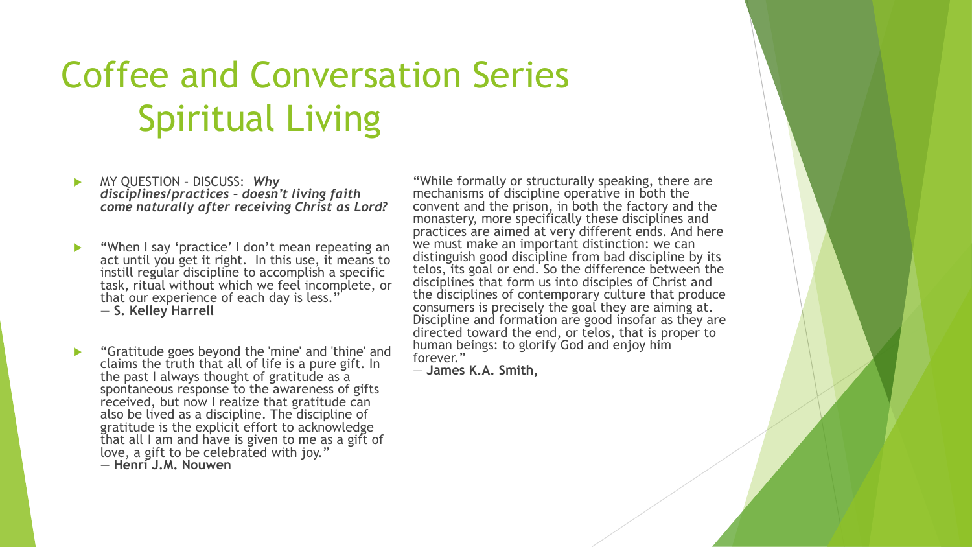# Coffee and Conversation Series Spiritual Living

- MY QUESTION DISCUSS: *Why disciplines/practices – doesn't living faith come naturally after receiving Christ as Lord?*
- "When I say 'practice' I don't mean repeating an act until you get it right. In this use, it means to instill regular discipline to accomplish a specific task, ritual without which we feel incomplete, or that our experience of each day is less.' ― **S. Kelley Harrell**
- **Step 4** "Gratitude goes beyond the 'mine' and 'thine' and claims the truth that all of life is a pure gift. In the past I always thought of gratitude as a spontaneous response to the awareness of gifts received, but now I realize that gratitude can also be lived as a discipline. The discipline of gratitude is the explicit effort to acknowledge that all I am and have is given to me as a gift of love, a gift to be celebrated with joy." ― **Henri J.M. Nouwen**

"While formally or structurally speaking, there are mechanisms of discipline operative in both the convent and the prison, in both the factory and the monastery, more specifically these disciplines and practices are aimed at very different ends. And here we must make an important distinction: we can distinguish good discipline from bad discipline by its telos, its goal or end. So the difference between the disciplines that form us into disciples of Christ and the disciplines of contemporary culture that produce consumers is precisely the goal they are aiming at. Discipline and formation are good insofar as they are directed toward the end, or telos, that is proper to human beings: to glorify God and enjoy him forever."

― **James K.A. Smith,**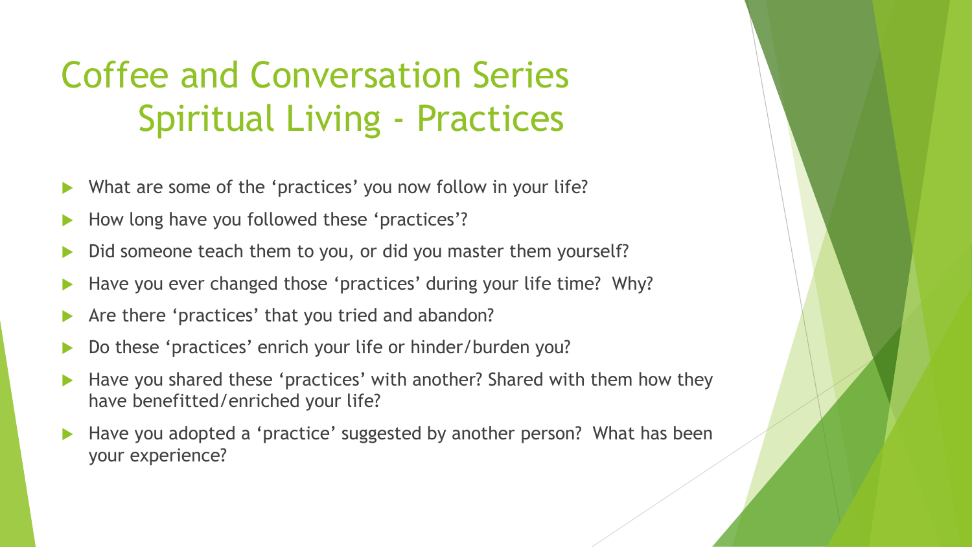# Coffee and Conversation Series Spiritual Living - Practices

- What are some of the 'practices' you now follow in your life?
- How long have you followed these 'practices'?
- Did someone teach them to you, or did you master them yourself?
- Have you ever changed those 'practices' during your life time? Why?
- Are there 'practices' that you tried and abandon?
- Do these 'practices' enrich your life or hinder/burden you?
- Have you shared these 'practices' with another? Shared with them how they have benefitted/enriched your life?
- Have you adopted a 'practice' suggested by another person? What has been your experience?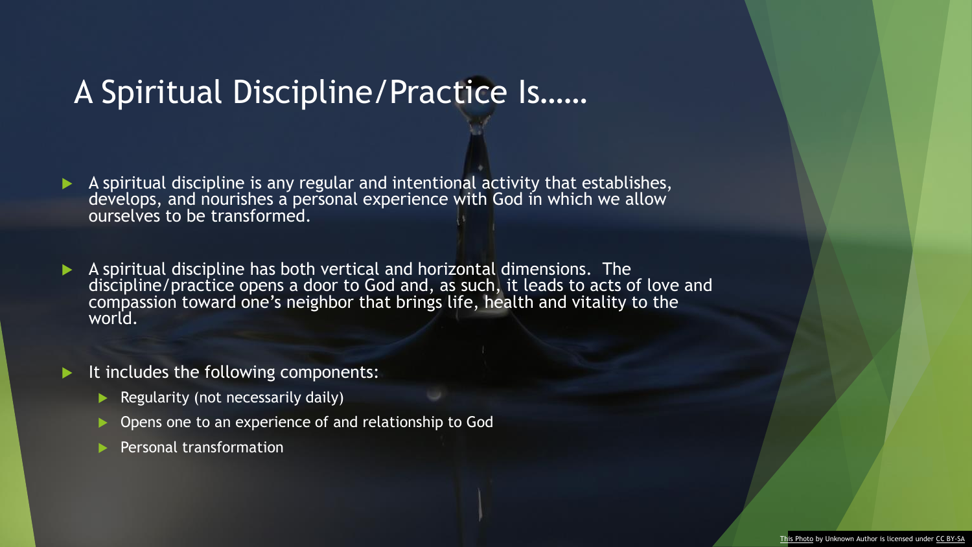#### A Spiritual Discipline/Practice Is……

A spiritual discipline is any regular and intentional activity that establishes, develops, and nourishes a personal experience with God in which we allow ourselves to be transformed.

- A spiritual discipline has both vertical and horizontal dimensions. The discipline/practice opens a door to God and, as such, it leads to acts of love and compassion toward one's neighbor that brings life, health and vitality to the world.
- It includes the following components:
	- Regularity (not necessarily daily)
	- Opens one to an experience of and relationship to God
	- Personal transformation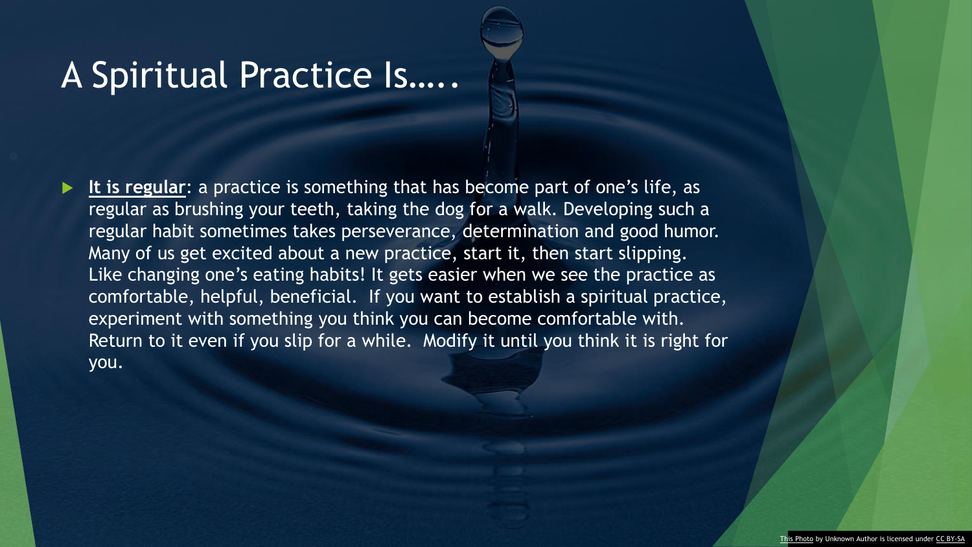### A Spiritual Practice Is…..

 **It is regular**: a practice is something that has become part of one's life, as regular as brushing your teeth, taking the dog for a walk. Developing such a regular habit sometimes takes perseverance, determination and good humor. Many of us get excited about a new practice, start it, then start slipping. Like changing one's eating habits! It gets easier when we see the practice as comfortable, helpful, beneficial. If you want to establish a spiritual practice, experiment with something you think you can become comfortable with. Return to it even if you slip for a while. Modify it until you think it is right for you.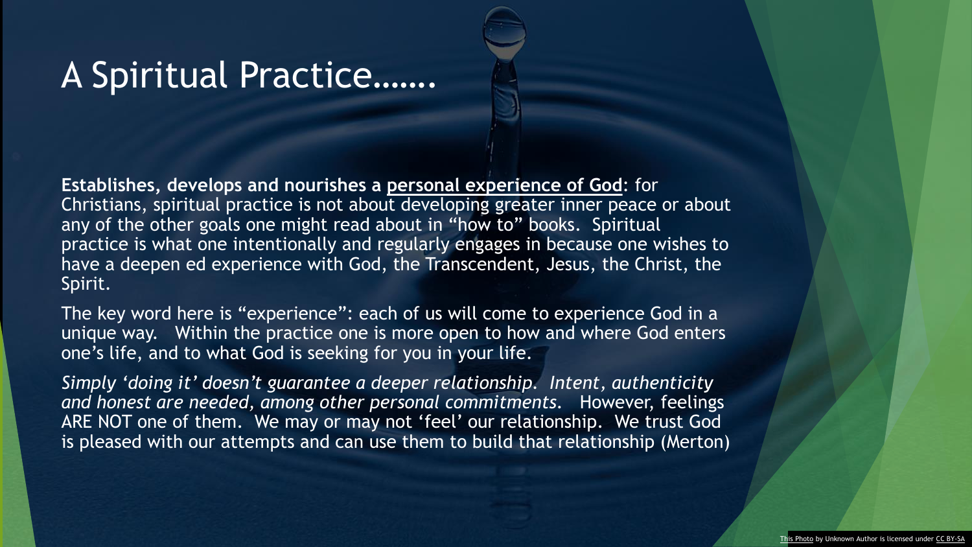### A Spiritual Practice…….

**Establishes, develops and nourishes a personal experience of God**: for Christians, spiritual practice is not about developing greater inner peace or about any of the other goals one might read about in "how to" books. Spiritual practice is what one intentionally and regularly engages in because one wishes to have a deepen ed experience with God, the Transcendent, Jesus, the Christ, the Spirit.

The key word here is "experience": each of us will come to experience God in a unique way. Within the practice one is more open to how and where God enters one's life, and to what God is seeking for you in your life.

*Simply 'doing it' doesn't guarantee a deeper relationship. Intent, authenticity and honest are needed, among other personal commitments.* However, feelings ARE NOT one of them. We may or may not 'feel' our relationship. We trust God is pleased with our attempts and can use them to build that relationship (Merton)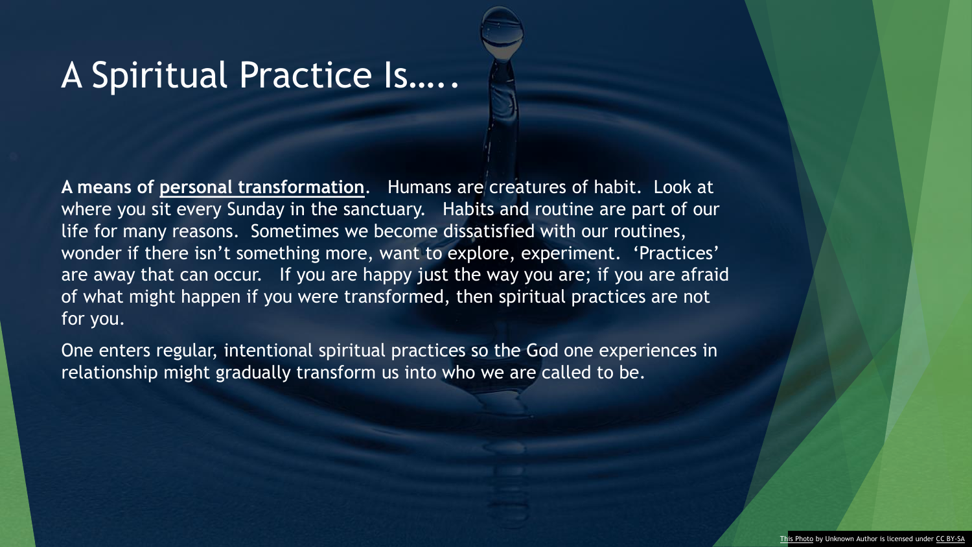### A Spiritual Practice Is…..

**A means of personal transformation**. Humans are creatures of habit. Look at where you sit every Sunday in the sanctuary. Habits and routine are part of our life for many reasons. Sometimes we become dissatisfied with our routines, wonder if there isn't something more, want to explore, experiment. 'Practices' are away that can occur. If you are happy just the way you are; if you are afraid of what might happen if you were transformed, then spiritual practices are not for you.

One enters regular, intentional spiritual practices so the God one experiences in relationship might gradually transform us into who we are called to be.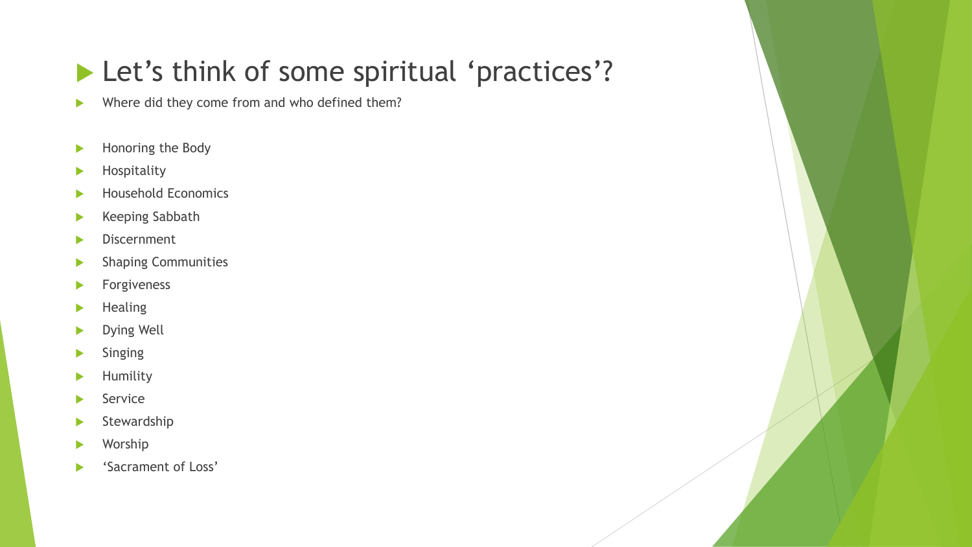### Let's think of some spiritual 'practices'?

Where did they come from and who defined them?

- Honoring the Body
- Hospitality
- Household Economics
- **Keeping Sabbath**
- **Discernment**
- **Shaping Communities**
- **Forgiveness**
- $\blacktriangleright$  Healing
- Dying Well
- Singing
- Humility
- **Service**
- Stewardship
- Worship
- 'Sacrament of Loss'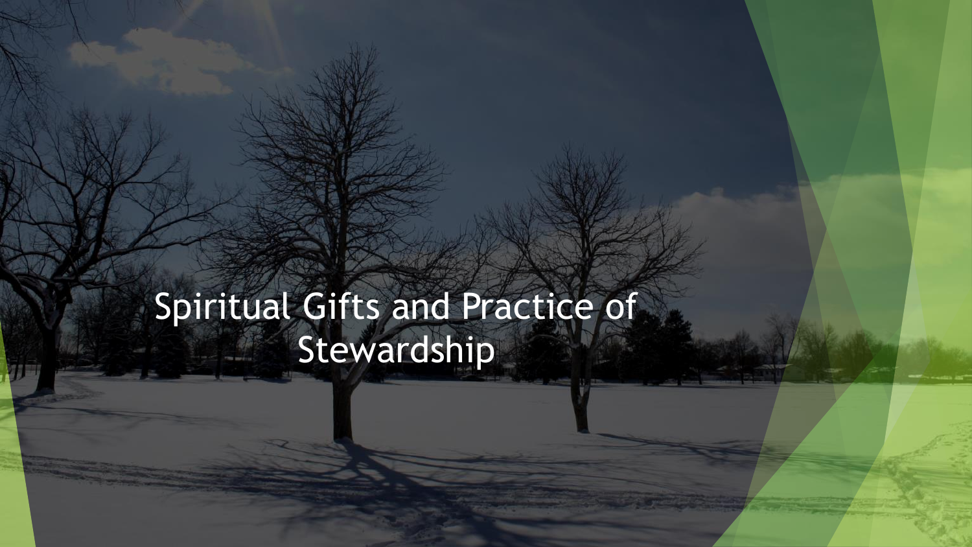# Spiritual Gifts and Practice of Stewardship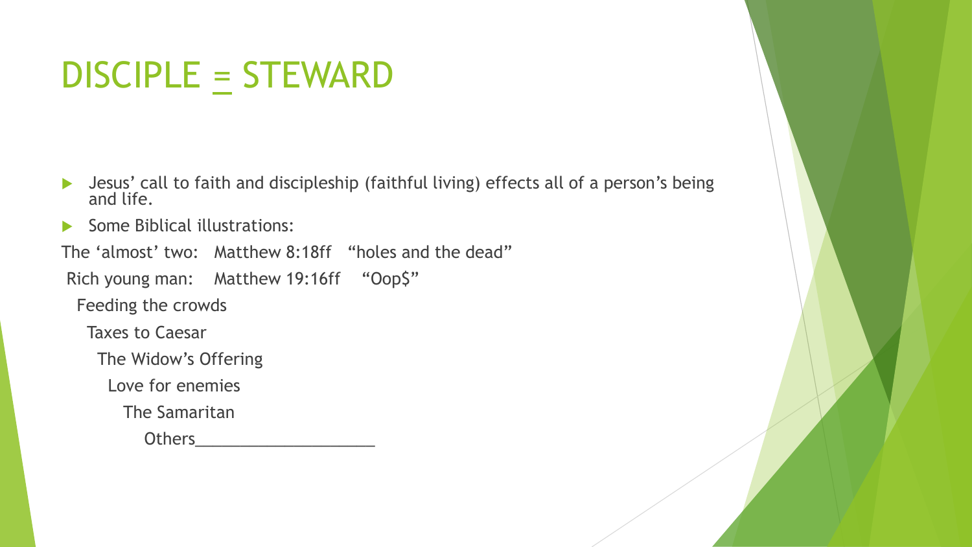# DISCIPLE = STEWARD

- Jesus' call to faith and discipleship (faithful living) effects all of a person's being and life.
- Some Biblical illustrations:

The 'almost' two: Matthew 8:18ff "holes and the dead"

Rich young man: Matthew 19:16ff "Oop\$"

Feeding the crowds

Taxes to Caesar

The Widow's Offering

Love for enemies

The Samaritan

Others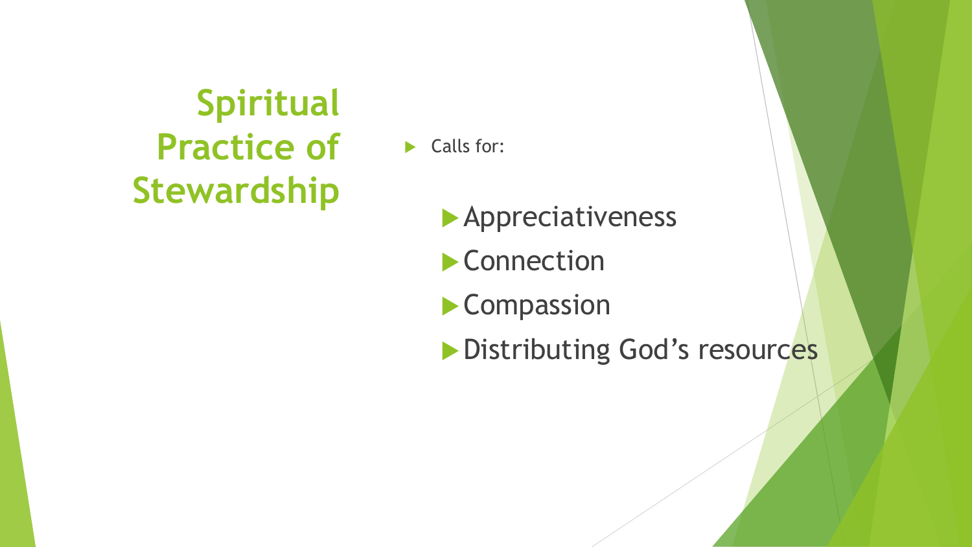# **Spiritual Practice of Stewardship**

Calls for:

**Appreciativeness** 

**Connection** 

**Compassion** 

**Distributing God's resources**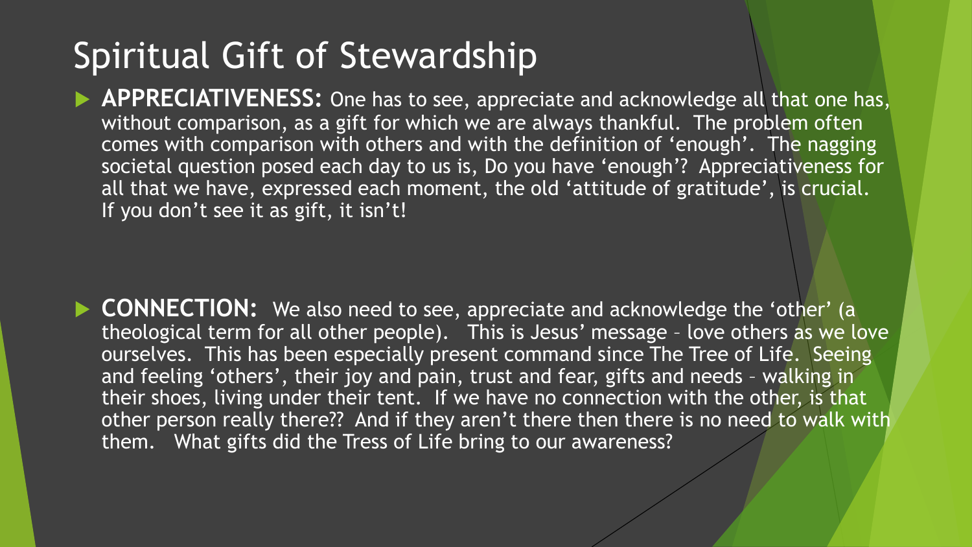## Spiritual Gift of Stewardship

**APPRECIATIVENESS:** One has to see, appreciate and acknowledge all that one has, without comparison, as a gift for which we are always thankful. The problem often comes with comparison with others and with the definition of 'enough'. The nagging societal question posed each day to us is, Do you have 'enough'? Appreciativeness for all that we have, expressed each moment, the old 'attitude of gratitude', is crucial. If you don't see it as gift, it isn't!

**CONNECTION:** We also need to see, appreciate and acknowledge the 'other' (a theological term for all other people). This is Jesus' message – love others as we love ourselves. This has been especially present command since The Tree of Life. Seeing and feeling 'others', their joy and pain, trust and fear, gifts and needs – walking in their shoes, living under their tent. If we have no connection with the other, is that other person really there?? And if they aren't there then there is no need to walk with them. What gifts did the Tress of Life bring to our awareness?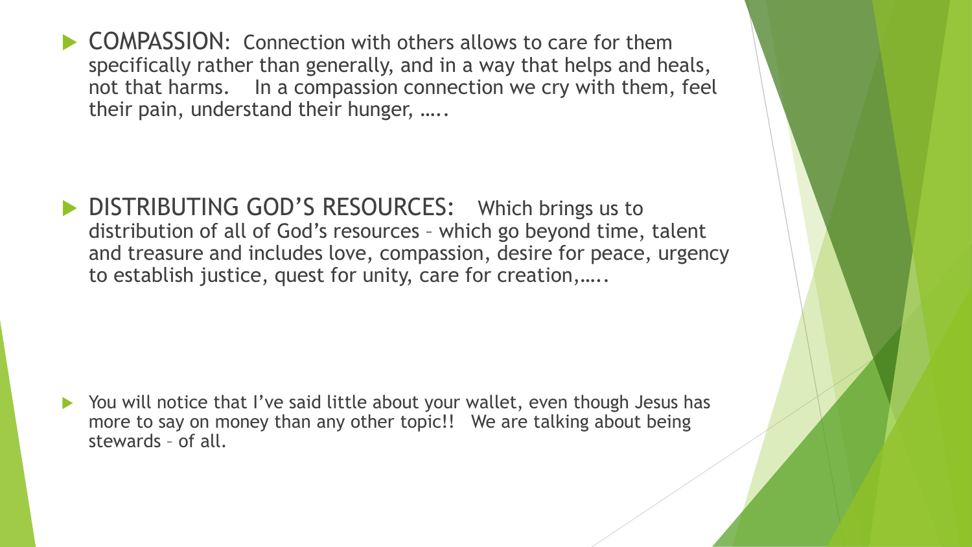▶ COMPASSION: Connection with others allows to care for them specifically rather than generally, and in a way that helps and heals, not that harms. In a compassion connection we cry with them, feel their pain, understand their hunger, …..

DISTRIBUTING GOD'S RESOURCES: Which brings us to distribution of all of God's resources – which go beyond time, talent and treasure and includes love, compassion, desire for peace, urgency to establish justice, quest for unity, care for creation,…..

▶ You will notice that I've said little about your wallet, even though Jesus has more to say on money than any other topic!! We are talking about being stewards – of all.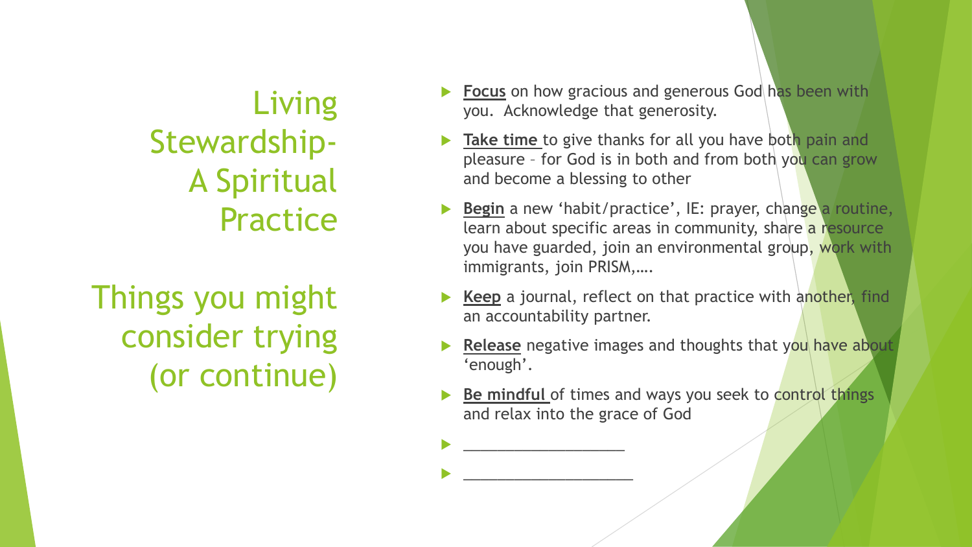Living Stewardship-A Spiritual Practice

Things you might consider trying (or continue)

- **Focus** on how gracious and generous God has been with you. Acknowledge that generosity.
- **Take time** to give thanks for all you have both pain and pleasure - for God is in both and from both you can grow and become a blessing to other
- **Begin** a new 'habit/practice', IE: prayer, change a routine, learn about specific areas in community, share a resource you have guarded, join an environmental group, work with immigrants, join PRISM,….
- **Keep** a journal, reflect on that practice with another, find an accountability partner.
- **Release** negative images and thoughts that you have about 'enough'.
- **Be mindful** of times and ways you seek to control things and relax into the grace of God

 $\blacktriangleright$   $\hspace{0.1cm}$   $\hspace{0.1cm}$   $\hspace{0.1cm}$   $\hspace{0.1cm}$   $\hspace{0.1cm}$   $\hspace{0.1cm}$   $\hspace{0.1cm}$   $\hspace{0.1cm}$   $\hspace{0.1cm}$   $\hspace{0.1cm}$   $\hspace{0.1cm}$   $\hspace{0.1cm}$   $\hspace{0.1cm}$   $\hspace{0.1cm}$   $\hspace{0.1cm}$   $\hspace{0.1cm}$   $\hspace{0.1cm}$   $\hspace{0.1cm$ 

 $\blacktriangleright$   $\hspace{0.1cm}$   $\hspace{0.1cm}$   $\hspace{0.1cm}$   $\hspace{0.1cm}$   $\hspace{0.1cm}$   $\hspace{0.1cm}$   $\hspace{0.1cm}$   $\hspace{0.1cm}$   $\hspace{0.1cm}$   $\hspace{0.1cm}$   $\hspace{0.1cm}$   $\hspace{0.1cm}$   $\hspace{0.1cm}$   $\hspace{0.1cm}$   $\hspace{0.1cm}$   $\hspace{0.1cm}$   $\hspace{0.1cm}$   $\hspace{0.1cm$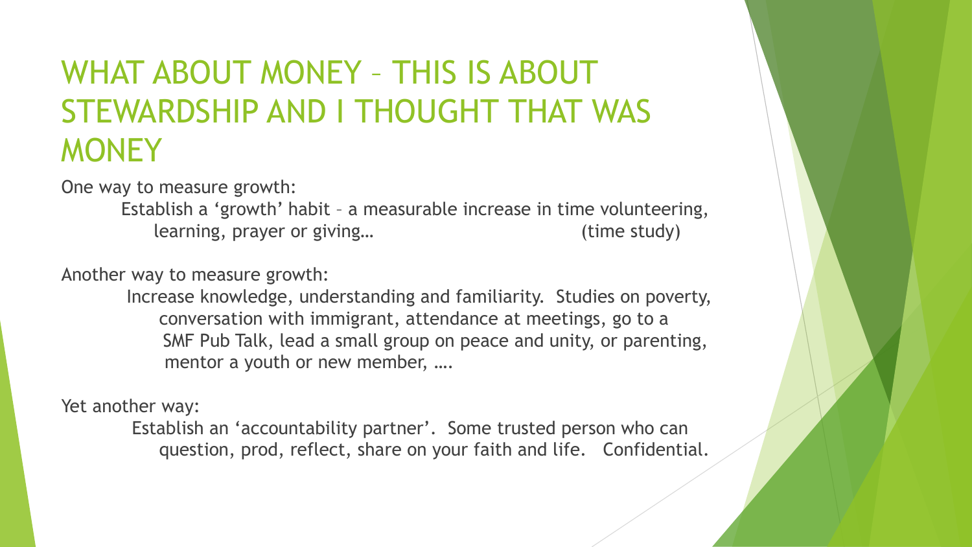## WHAT ABOUT MONEY – THIS IS ABOUT STEWARDSHIP AND I THOUGHT THAT WAS **MONEY**

One way to measure growth:

Establish a 'growth' habit – a measurable increase in time volunteering, learning, prayer or giving… (time study)

Another way to measure growth:

Increase knowledge, understanding and familiarity. Studies on poverty, conversation with immigrant, attendance at meetings, go to a SMF Pub Talk, lead a small group on peace and unity, or parenting, mentor a youth or new member, ….

Yet another way:

Establish an 'accountability partner'. Some trusted person who can question, prod, reflect, share on your faith and life. Confidential.